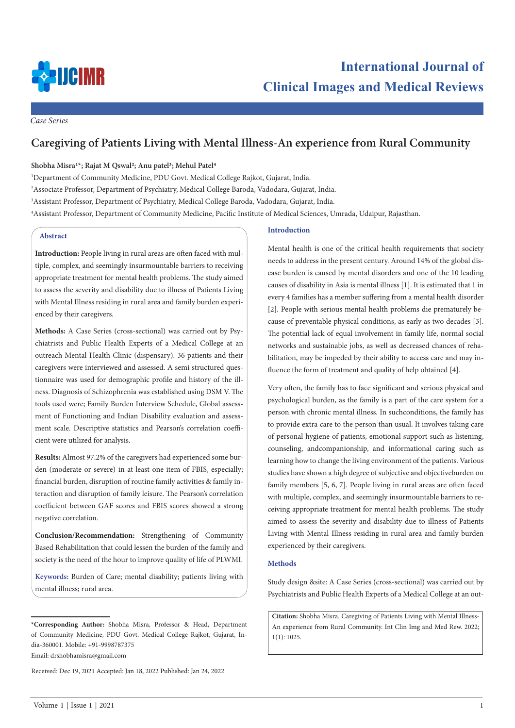

*Case Series*

# **Caregiving of Patients Living with Mental Illness-An experience from Rural Community**

# **Shobha Misra1\*; Rajat M Qswal2; Anu patel3; Mehul Patel4**

 Department of Community Medicine, PDU Govt. Medical College Rajkot, Gujarat, India. Associate Professor, Department of Psychiatry, Medical College Baroda, Vadodara, Gujarat, India. Assistant Professor, Department of Psychiatry, Medical College Baroda, Vadodara, Gujarat, India. Assistant Professor, Department of Community Medicine, Pacific Institute of Medical Sciences, Umrada, Udaipur, Rajasthan.

# **Abstract**

**Introduction:** People living in rural areas are often faced with multiple, complex, and seemingly insurmountable barriers to receiving appropriate treatment for mental health problems. The study aimed to assess the severity and disability due to illness of Patients Living with Mental Illness residing in rural area and family burden experienced by their caregivers.

**Methods:** A Case Series (cross-sectional) was carried out by Psychiatrists and Public Health Experts of a Medical College at an outreach Mental Health Clinic (dispensary). 36 patients and their caregivers were interviewed and assessed. A semi structured questionnaire was used for demographic profile and history of the illness. Diagnosis of Schizophrenia was established using DSM V. The tools used were; Family Burden Interview Schedule, Global assessment of Functioning and Indian Disability evaluation and assessment scale. Descriptive statistics and Pearson's correlation coefficient were utilized for analysis.

**Results:** Almost 97.2% of the caregivers had experienced some burden (moderate or severe) in at least one item of FBIS, especially; financial burden, disruption of routine family activities & family interaction and disruption of family leisure. The Pearson's correlation coefficient between GAF scores and FBIS scores showed a strong negative correlation.

**Conclusion/Recommendation:** Strengthening of Community Based Rehabilitation that could lessen the burden of the family and society is the need of the hour to improve quality of life of PLWMI.

**Keywords:** Burden of Care; mental disability; patients living with mental illness; rural area.

Email: drshobhamisra@gmail.com

Received: Dec 19, 2021 Accepted: Jan 18, 2022 Published: Jan 24, 2022

#### **Introduction**

Mental health is one of the critical health requirements that society needs to address in the present century. Around 14% of the global disease burden is caused by mental disorders and one of the 10 leading causes of disability in Asia is mental illness [1]. It is estimated that 1 in every 4 families has a member suffering from a mental health disorder [2]. People with serious mental health problems die prematurely because of preventable physical conditions, as early as two decades [3]. The potential lack of equal involvement in family life, normal social networks and sustainable jobs, as well as decreased chances of rehabilitation, may be impeded by their ability to access care and may influence the form of treatment and quality of help obtained [4].

Very often, the family has to face significant and serious physical and psychological burden, as the family is a part of the care system for a person with chronic mental illness. In suchconditions, the family has to provide extra care to the person than usual. It involves taking care of personal hygiene of patients, emotional support such as listening, counseling, andcompanionship, and informational caring such as learning how to change the living environment of the patients. Various studies have shown a high degree of subjective and objectiveburden on family members [5, 6, 7]. People living in rural areas are often faced with multiple, complex, and seemingly insurmountable barriers to receiving appropriate treatment for mental health problems. The study aimed to assess the severity and disability due to illness of Patients Living with Mental Illness residing in rural area and family burden experienced by their caregivers.

## **Methods**

Study design &site: A Case Series (cross-sectional) was carried out by Psychiatrists and Public Health Experts of a Medical College at an out-

**Citation:** Shobha Misra. Caregiving of Patients Living with Mental Illness-An experience from Rural Community. Int Clin Img and Med Rew. 2022; 1(1): 1025.

**<sup>\*</sup>Corresponding Author:** Shobha Misra, Professor & Head, Department of Community Medicine, PDU Govt. Medical College Rajkot, Gujarat, India-360001. Mobile: +91-9998787375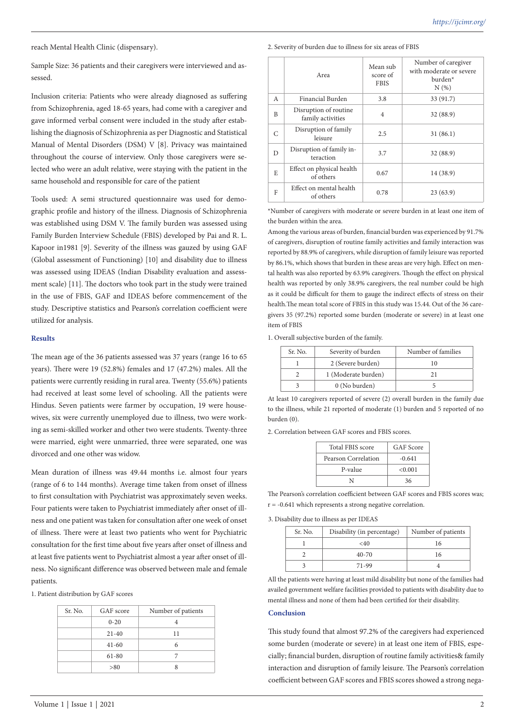reach Mental Health Clinic (dispensary).

Sample Size: 36 patients and their caregivers were interviewed and assessed.

Inclusion criteria: Patients who were already diagnosed as suffering from Schizophrenia, aged 18-65 years, had come with a caregiver and gave informed verbal consent were included in the study after establishing the diagnosis of Schizophrenia as per Diagnostic and Statistical Manual of Mental Disorders (DSM) V [8]. Privacy was maintained throughout the course of interview. Only those caregivers were selected who were an adult relative, were staying with the patient in the same household and responsible for care of the patient

Tools used: A semi structured questionnaire was used for demographic profile and history of the illness. Diagnosis of Schizophrenia was established using DSM V. The family burden was assessed using Family Burden Interview Schedule (FBIS) developed by Pai and R. L. Kapoor in1981 [9]. Severity of the illness was gauzed by using GAF (Global assessment of Functioning) [10] and disability due to illness was assessed using IDEAS (Indian Disability evaluation and assessment scale) [11]. The doctors who took part in the study were trained in the use of FBIS, GAF and IDEAS before commencement of the study. Descriptive statistics and Pearson's correlation coefficient were utilized for analysis.

## **Results**

The mean age of the 36 patients assessed was 37 years (range 16 to 65 years). There were 19 (52.8%) females and 17 (47.2%) males. All the patients were currently residing in rural area. Twenty (55.6%) patients had received at least some level of schooling. All the patients were Hindus. Seven patients were farmer by occupation, 19 were housewives, six were currently unemployed due to illness, two were working as semi-skilled worker and other two were students. Twenty-three were married, eight were unmarried, three were separated, one was divorced and one other was widow.

Mean duration of illness was 49.44 months i.e. almost four years (range of 6 to 144 months). Average time taken from onset of illness to first consultation with Psychiatrist was approximately seven weeks. Four patients were taken to Psychiatrist immediately after onset of illness and one patient was taken for consultation after one week of onset of illness. There were at least two patients who went for Psychiatric consultation for the first time about five years after onset of illness and at least five patients went to Psychiatrist almost a year after onset of illness. No significant difference was observed between male and female patients.

1. Patient distribution by GAF scores

| Sr. No. | GAF score | Number of patients |
|---------|-----------|--------------------|
|         | $0 - 20$  |                    |
|         | $21 - 40$ | 11                 |
|         | $41 - 60$ | 6                  |
|         | $61 - 80$ |                    |
|         | > 80      |                    |

## 2. Severity of burden due to illness for six areas of FBIS

|                                           | Area                                       | Mean sub<br>score of<br><b>FBIS</b> | Number of caregiver<br>with moderate or severe<br>burden <sup>*</sup><br>N(%) |
|-------------------------------------------|--------------------------------------------|-------------------------------------|-------------------------------------------------------------------------------|
| A                                         | Financial Burden                           | 3.8                                 | 33 (91.7)                                                                     |
| B                                         | Disruption of routine<br>family activities | $\overline{4}$                      | 32 (88.9)                                                                     |
| C                                         | Disruption of family<br>leisure            | 2.5                                 | 31(86.1)                                                                      |
| D                                         | Disruption of family in-<br>teraction      | 3.7                                 | 32 (88.9)                                                                     |
| E                                         | Effect on physical health<br>of others     | 0.67                                | 14 (38.9)                                                                     |
| Effect on mental health<br>F<br>of others |                                            | 0.78                                | 23(63.9)                                                                      |

\*Number of caregivers with moderate or severe burden in at least one item of the burden within the area.

Among the various areas of burden, financial burden was experienced by 91.7% of caregivers, disruption of routine family activities and family interaction was reported by 88.9% of caregivers, while disruption of family leisure was reported by 86.1%, which shows that burden in these areas are very high. Effect on mental health was also reported by 63.9% caregivers. Though the effect on physical health was reported by only 38.9% caregivers, the real number could be high as it could be difficult for them to gauge the indirect effects of stress on their health.The mean total score of FBIS in this study was 15.44. Out of the 36 caregivers 35 (97.2%) reported some burden (moderate or severe) in at least one item of FBIS

1. Overall subjective burden of the family.

| Sr. No. | Severity of burden  | Number of families |
|---------|---------------------|--------------------|
|         | 2 (Severe burden)   | 10                 |
|         | 1 (Moderate burden) |                    |
|         | 0 (No burden)       |                    |

At least 10 caregivers reported of severe (2) overall burden in the family due to the illness, while 21 reported of moderate (1) burden and 5 reported of no burden (0).

2. Correlation between GAF scores and FBIS scores.

| Total FBIS score    | GAF Score |
|---------------------|-----------|
| Pearson Correlation | $-0.641$  |
| P-value             | < 0.001   |
|                     | 36        |

The Pearson's correlation coefficient between GAF scores and FBIS scores was; r = -0.641 which represents a strong negative correlation.

3. Disability due to illness as per IDEAS

| Sr. No. | Disability (in percentage) | Number of patients |
|---------|----------------------------|--------------------|
|         | $<$ 40                     | 16                 |
|         | $40 - 70$                  | 16                 |
|         | 71-99                      |                    |

All the patients were having at least mild disability but none of the families had availed government welfare facilities provided to patients with disability due to mental illness and none of them had been certified for their disability.

#### **Conclusion**

This study found that almost 97.2% of the caregivers had experienced some burden (moderate or severe) in at least one item of FBIS, especially; financial burden, disruption of routine family activities& family interaction and disruption of family leisure. The Pearson's correlation coefficient between GAF scores and FBIS scores showed a strong nega